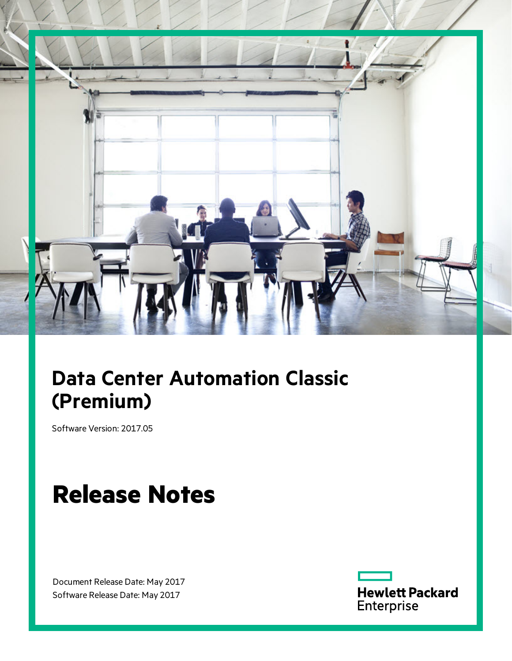

# **Data Center Automation Classic (Premium)**

Software Version: 2017.05

# **Release Notes**

Document Release Date: May 2017 Software Release Date: May 2017

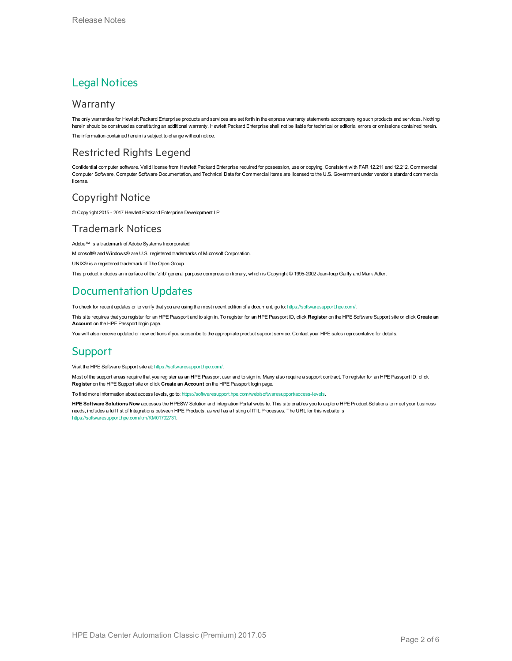### Legal Notices

#### Warranty

The only warranties for Hewlett Packard Enterprise products and services are set forth in the express warranty statements accompanying such products and services. Nothing herein should be construed as constituting an additional warranty. Hewlett Packard Enterprise shall not be liable for technical or editorial errors or omissions contained herein. The information contained herein is subject to change without notice.

#### Restricted Rights Legend

Confidential computer software. Valid license from Hewlett Packard Enterprise required for possession, use or copying. Consistent with FAR 12.211 and 12.212, Commercial Computer Software, Computer Software Documentation, and Technical Data for Commercial Items are licensed to the U.S. Government under vendor's standard commercial license.

#### Copyright Notice

© Copyright 2015 - 2017 Hewlett Packard Enterprise Development LP

#### Trademark Notices

Adobe™ is a trademark of Adobe Systems Incorporated.

Microsoft® and Windows® are U.S. registered trademarks of Microsoft Corporation.

UNIX® is a registered trademark of The Open Group.

This product includes an interface of the 'zlib' general purpose compression library, which is Copyright © 1995-2002 Jean-loup Gailly and Mark Adler.

### Documentation Updates

To check for recent updates or to verify that you are using the most recent edition of a document, go to: <https://softwaresupport.hpe.com/>.

This site requires that you register for an HPE Passport and to sign in. To register for an HPE Passport ID, click **Register** on the HPE Software Support site or click **Create an Account** on the HPE Passport login page.

You will also receive updated or new editions if you subscribe to the appropriate product support service. Contact your HPE sales representative for details.

#### Support

Visit the HPE Software Support site at: <https://softwaresupport.hpe.com/>.

Most of the support areas require that you register as an HPE Passport user and to sign in. Many also require a support contract. To register for an HPE Passport ID, click **Register** on the HPE Support site or click **Create an Account** on the HPE Passport login page.

To find more information about access levels, go to: <https://softwaresupport.hpe.com/web/softwaresupport/access-levels>.

**HPE Software Solutions Now** accesses the HPESW Solution and Integration Portal website. This site enables you to explore HPE Product Solutions to meet your business needs, includes a full list of Integrations between HPE Products, as well as a listing of ITIL Processes. The URL for this website is [https://softwaresupport.hpe.com/km/KM01702731.](https://softwaresupport.hpe.com/km/KM01702731)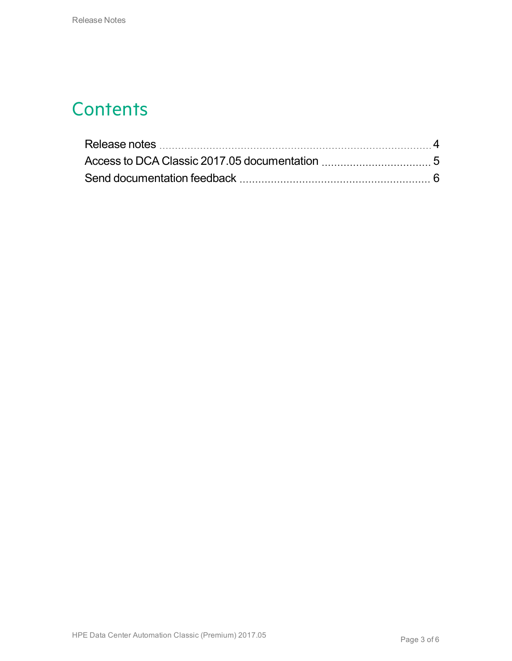### **Contents**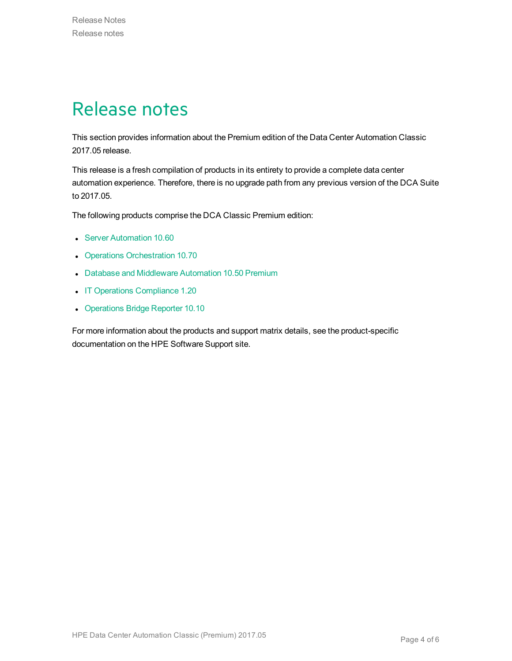### <span id="page-3-0"></span>Release notes

This section provides information about the Premium edition of the Data Center Automation Classic 2017.05 release.

This release is a fresh compilation of products in its entirety to provide a complete data center automation experience. Therefore, there is no upgrade path from any previous version of the DCA Suite to 2017.05.

The following products comprise the DCA Classic Premium edition:

- **.** Server [Automation](https://softwaresupport.hpe.com/km/KM02790390) 10.60
- Operations [Orchestration](https://softwaresupport.hpe.com/km/KM02518005) 10.70
- Database and [Middleware](https://softwaresupport.hpe.com/km/KM02364830) Automation 10.50 Premium
- IT Operations [Compliance](https://softwaresupport.hpe.com/km/KM02583928) 1.20
- [Operations](https://softwaresupport.hpe.com/km/KM02695559) Bridge Reporter 10.10

For more information about the products and support matrix details, see the product-specific documentation on the HPE Software Support site.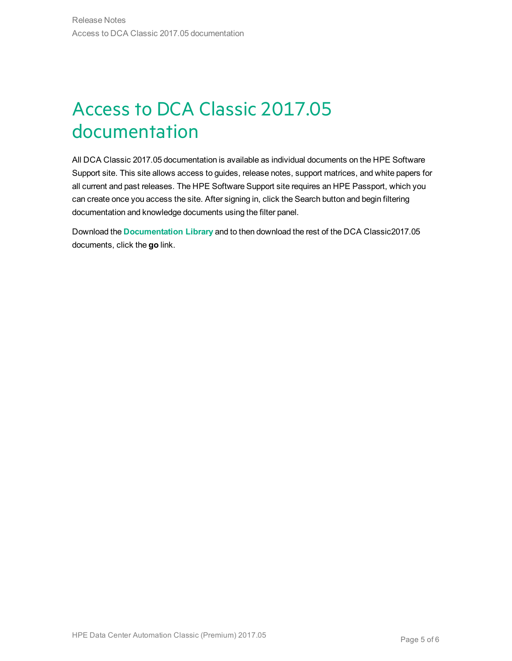## <span id="page-4-0"></span>Access to DCA Classic 2017.05 documentation

All DCA Classic 2017.05 documentation is available as individual documents on the HPE Software Support site. This site allows access to guides, release notes, support matrices, and white papers for all current and past releases. The HPE Software Support site requires an HPE Passport, which you can create once you access the site. After signing in, click the Search button and begin filtering documentation and knowledge documents using the filter panel.

Download the **[Documentation](https://softwaresupport.hpe.com/km/KM02710403) Library** and to then download the rest of the DCA Classic2017.05 documents, click the **go** link.